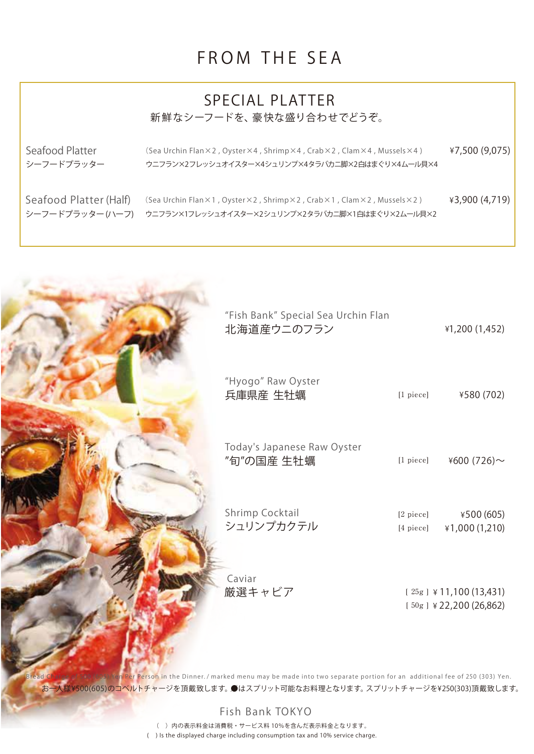#### FROM THE SEA

#### SPECIAL PLATTER 新鮮なシーフードを、豪快な盛り合わせでどうぞ。

シーフードプラッター

Seafood Platter ¥7,500 (9,075) (Sea Urchin Flan×2 , Oyster×4 , Shrimp×4 , Crab×2 , Clam×4 , Mussels×4 ) ウニフラン×2フレッシュオイスター×4シュリンプ×4タラバカニ脚×2白はまぐり×4ムール貝×4

シーフードプラッター (ハーフ)

Seafood Platter (Half) (Sea Urchin Flan×1 , Oyster×2 , Shrimp×2 , Crab×1 , Clam×2 , Mussels×2 )  $\qquad \qquad \}$ 3,900 (4,719) ウニフラン×1フレッシュオイスター×2 シュリンプ×2 タラバカニ脚×1 白はまぐり×2 ムール貝×2



お一人様¥500(605)のコベルトチャージを頂戴致します。●はスプリット可能なお料理となります。スプリットチャージを¥250(303)頂戴致します。 Bread Charge of 500 (605) Yen Per Person in the Dinner. / marked menu may be made into two separate portion for an additional fee of 250 (303) Yen.

Fish Bank TOKYO

 ( ) Is the displayed charge including consumption tax and 10% service charge. ( ) 内の表示料金は消費税・サービス料 10%を含んだ表示料金となります。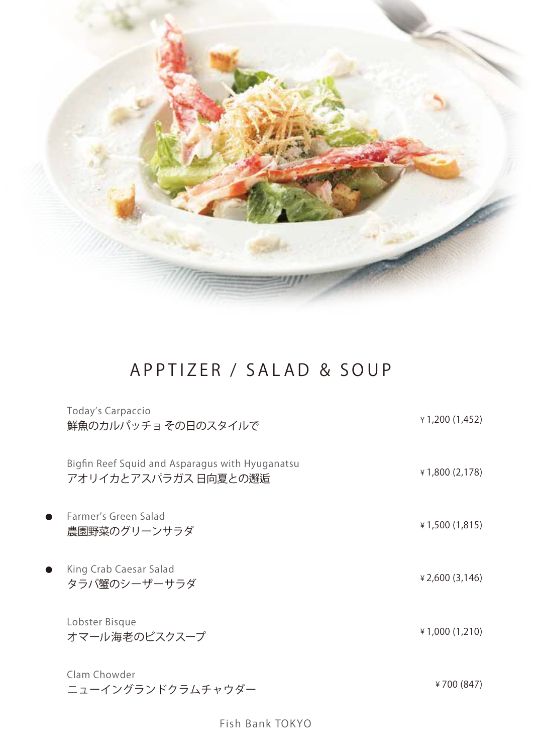

## APPTIZER / SALAD & SOUP

|           | Today's Carpaccio<br>鮮魚のカルパッチョ その日のスタイルで                                | ¥ 1,200 (1,452)            |
|-----------|-------------------------------------------------------------------------|----------------------------|
|           | Bigfin Reef Squid and Asparagus with Hyuganatsu<br>アオリイカとアスパラガス 日向夏との邂逅 | ¥1,800 (2,178)             |
| $\bullet$ | Farmer's Green Salad<br>農園野菜のグリーンサラダ                                    | $\angle 1,500(1,815)$      |
| $\bullet$ | King Crab Caesar Salad<br>タラバ蟹のシーザーサラダ                                  | $\frac{1}{2}$ ,600 (3,146) |
|           | Lobster Bisque<br>オマール海老のビスクスープ                                         | ¥1,000 (1,210)             |
|           | Clam Chowder<br>ニューイングランドクラムチャウダー                                       | ¥700 (847)                 |

Fish Bank TOKYO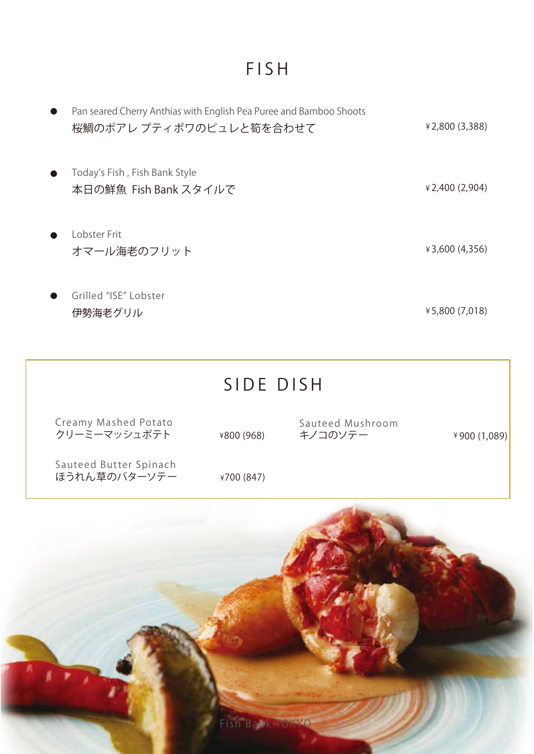### FISH

| Pan seared Cherry Anthias with English Pea Puree and Bamboo Shoots<br>桜鯛のポアレプティポワのピュレと筍を合わせて | ¥2,800 (3,388)        |
|----------------------------------------------------------------------------------------------|-----------------------|
| Today's Fish, Fish Bank Style<br>本日の鮮魚 Fish Bank スタイルで                                       | $\angle 2,400(2,904)$ |
| Lobster Frit<br>オマール海老のフリット                                                                  | ¥3,600 (4,356)        |
| Grilled "ISE" Lobster<br>伊勢海老グリル                                                             | ¥5,800 (7,018)        |